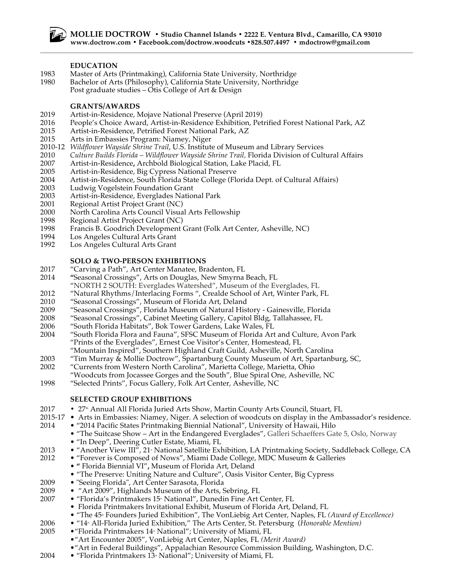#### **EDUCATION**

- 1983 Master of Arts (Printmaking), California State University, Northridge
- 1980 Bachelor of Arts (Philosophy), California State University, Northridge Post graduate studies – Otis College of Art & Design
	-

## **GRANTS/AWARDS**

- 2019 Artist-in-Residence, Mojave National Preserve (April 2019)
- 2016 People's Choice Award, Artist-in-Residence Exhibition, Petrified Forest National Park, AZ
- 2015 Artist-in-Residence, Petrified Forest National Park, AZ
- 2015 Arts in Embassies Program: Niamey, Niger
- 2010-12 *Wildflower Wayside Shrine Trail*, U.S. Institute of Museum and Library Services
- 2010 *Culture Builds Florida – Wildflower Wayside Shrine Trail,* Florida Division of Cultural Affairs
- 2007 Artist-in-Residence**,** Archbold Biological Station, Lake Placid, FL
- 2005 Artist-in-Residence, Big Cypress National Preserve
- 2004 Artist-in-Residence, South Florida State College (Florida Dept. of Cultural Affairs)
- 2003 Ludwig Vogelstein Foundation Grant<br>2003 Artist-in-Residence, Everglades Nation
- Artist-in-Residence, Everglades National Park
- 2001 Regional Artist Project Grant (NC)
- 2000 North Carolina Arts Council Visual Arts Fellowship
- 1998 Regional Artist Project Grant (NC)
- 1998 Francis B. Goodrich Development Grant (Folk Art Center, Asheville, NC)
- 1994 Los Angeles Cultural Arts Grant<br>1992 Los Angeles Cultural Arts Grant
- Los Angeles Cultural Arts Grant

## **SOLO & TWO-PERSON EXHIBITIONS**

- 2017 "Carving a Path", Art Center Manatee, Bradenton, FL
- 2014 **"**Seasonal Crossings", Arts on Douglas, New Smyrna Beach, FL
- "NORTH 2 SOUTH: Everglades Watershed", Museum of the Everglades, FL
- 2012 "Natural Rhythms/Interlacing Forms ", Crealde School of Art, Winter Park, FL
- 2010 "Seasonal Crossings", Museum of Florida Art, Deland
- 2009 "Seasonal Crossings", Florida Museum of Natural History Gainesville, Florida
- 2008 "Seasonal Crossings", Cabinet Meeting Gallery, Capitol Bldg, Tallahassee, FL
- 2006 "South Florida Habitats", Bok Tower Gardens, Lake Wales, FL
- 2004 "South Florida Flora and Fauna", SFSC Museum of Florida Art and Culture, Avon Park "Prints of the Everglades", Ernest Coe Visitor's Center, Homestead, FL
	- "Mountain Inspired", Southern Highland Craft Guild, Asheville, North Carolina
- 2003 "Tim Murray & Mollie Doctrow", Spartanburg County Museum of Art, Spartanburg, SC,
- 2002 "Currents from Western North Carolina", Marietta College, Marietta, Ohio
- "Woodcuts from Jocassee Gorges and the South", Blue Spiral One, Asheville, NC
- 1998 "Selected Prints", Focus Gallery, Folk Art Center, Asheville, NC

### **SELECTED GROUP EXHIBITIONS**

- 2017 27th Annual All Florida Juried Arts Show, Martin County Arts Council, Stuart, FL
- 2015-17 Arts in Embassies: Niamey, Niger. A selection of woodcuts on display in the Ambassador's residence.
- 2014 "2014 Pacific States Printmaking Biennial National", University of Hawaii, Hilo
	- "The Suitcase Show Art in the Endangered Everglades", Galleri Schaeffers Gate 5, Oslo, Norway
	- "In Deep", Deering Cutler Estate, Miami, FL
- 1013 "Another View III", 21<sub>"</sub> National Satellite Exhibition, LA Printmaking Society, Saddleback College, CA
- 2012 "Forever is Composed of Nows", Miami Dade College, MDC Museum & Galleries
	- **"** Florida Biennial VI"**,** Museum of Florida Art, Deland
	- "The Preserve: Uniting Nature and Culture", Oasis Visitor Center, Big Cypress
- 2009 "Seeing Florida", Art Center Sarasota, Florida
- 2009 "Art 2009", Highlands Museum of the Arts, Sebring, FL
- 2007 "Florida's Printmakers 15<sup>th</sup> National", Dunedin Fine Art Center, FL
	- Florida Printmakers Invitational Exhibit, Museum of Florida Art, Deland, FL
	- "The 45<sup>th</sup> Founders Juried Exhibition", The VonLiebig Art Center, Naples, FL (Award of Excellence)
- 2006 "14<sup>\*</sup> All-Florida Juried Exhibition," The Arts Center, St. Petersburg (Honorable Mention)
- 2005 "Florida Printmakers 14<sup>th</sup> National"; University of Miami, FL
	- •"Art Encounter 2005", VonLiebig Art Center, Naples, FL *(Merit Award)*
	- •"Art in Federal Buildings", Appalachian Resource Commission Building, Washington, D.C.
- 2004 "Florida Printmakers  $13$ <sup>\*</sup> National"; University of Miami, FL